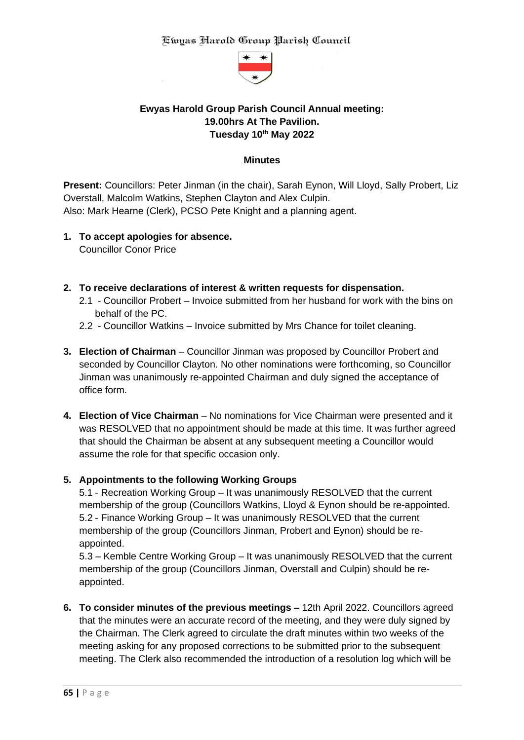

# **Ewyas Harold Group Parish Council Annual meeting: 19.00hrs At The Pavilion. Tuesday 10th May 2022**

#### **Minutes**

**Present:** Councillors: Peter Jinman (in the chair), Sarah Eynon, Will Lloyd, Sally Probert, Liz Overstall, Malcolm Watkins, Stephen Clayton and Alex Culpin. Also: Mark Hearne (Clerk), PCSO Pete Knight and a planning agent.

- **1. To accept apologies for absence.** Councillor Conor Price
- **2. To receive declarations of interest & written requests for dispensation.**
	- 2.1 Councillor Probert Invoice submitted from her husband for work with the bins on behalf of the PC.
	- 2.2 Councillor Watkins Invoice submitted by Mrs Chance for toilet cleaning.
- **3. Election of Chairman**  Councillor Jinman was proposed by Councillor Probert and seconded by Councillor Clayton. No other nominations were forthcoming, so Councillor Jinman was unanimously re-appointed Chairman and duly signed the acceptance of office form.
- **4. Election of Vice Chairman** No nominations for Vice Chairman were presented and it was RESOLVED that no appointment should be made at this time. It was further agreed that should the Chairman be absent at any subsequent meeting a Councillor would assume the role for that specific occasion only.

#### **5. Appointments to the following Working Groups**

5.1 - Recreation Working Group – It was unanimously RESOLVED that the current membership of the group (Councillors Watkins, Lloyd & Eynon should be re-appointed. 5.2 - Finance Working Group – It was unanimously RESOLVED that the current membership of the group (Councillors Jinman, Probert and Eynon) should be reappointed.

5.3 – Kemble Centre Working Group – It was unanimously RESOLVED that the current membership of the group (Councillors Jinman, Overstall and Culpin) should be reappointed.

**6. To consider minutes of the previous meetings –** 12th April 2022. Councillors agreed that the minutes were an accurate record of the meeting, and they were duly signed by the Chairman. The Clerk agreed to circulate the draft minutes within two weeks of the meeting asking for any proposed corrections to be submitted prior to the subsequent meeting. The Clerk also recommended the introduction of a resolution log which will be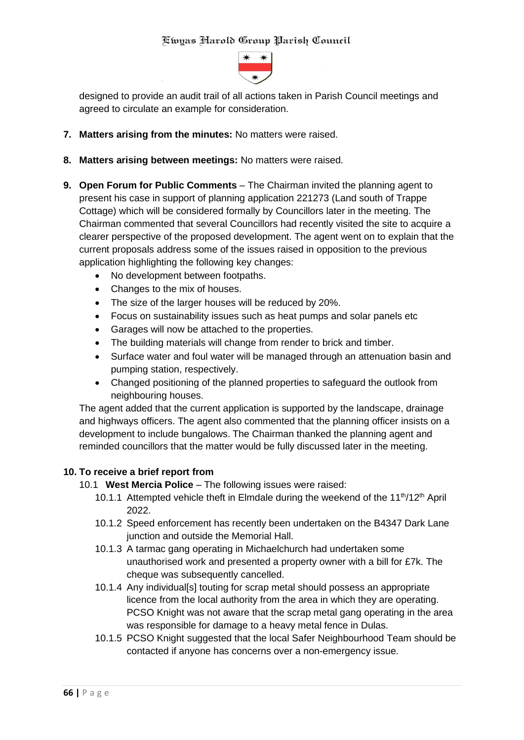

designed to provide an audit trail of all actions taken in Parish Council meetings and agreed to circulate an example for consideration.

- **7. Matters arising from the minutes:** No matters were raised.
- **8. Matters arising between meetings:** No matters were raised.
- **9. Open Forum for Public Comments** The Chairman invited the planning agent to present his case in support of planning application 221273 (Land south of Trappe Cottage) which will be considered formally by Councillors later in the meeting. The Chairman commented that several Councillors had recently visited the site to acquire a clearer perspective of the proposed development. The agent went on to explain that the current proposals address some of the issues raised in opposition to the previous application highlighting the following key changes:
	- No development between footpaths.
	- Changes to the mix of houses.
	- The size of the larger houses will be reduced by 20%.
	- Focus on sustainability issues such as heat pumps and solar panels etc
	- Garages will now be attached to the properties.
	- The building materials will change from render to brick and timber.
	- Surface water and foul water will be managed through an attenuation basin and pumping station, respectively.
	- Changed positioning of the planned properties to safeguard the outlook from neighbouring houses.

The agent added that the current application is supported by the landscape, drainage and highways officers. The agent also commented that the planning officer insists on a development to include bungalows. The Chairman thanked the planning agent and reminded councillors that the matter would be fully discussed later in the meeting.

#### **10. To receive a brief report from**

- 10.1 **West Mercia Police** The following issues were raised:
	- 10.1.1 Attempted vehicle theft in Elmdale during the weekend of the 11<sup>th</sup>/12<sup>th</sup> April 2022.
	- 10.1.2 Speed enforcement has recently been undertaken on the B4347 Dark Lane junction and outside the Memorial Hall.
	- 10.1.3 A tarmac gang operating in Michaelchurch had undertaken some unauthorised work and presented a property owner with a bill for £7k. The cheque was subsequently cancelled.
	- 10.1.4 Any individual[s] touting for scrap metal should possess an appropriate licence from the local authority from the area in which they are operating. PCSO Knight was not aware that the scrap metal gang operating in the area was responsible for damage to a heavy metal fence in Dulas.
	- 10.1.5 PCSO Knight suggested that the local Safer Neighbourhood Team should be contacted if anyone has concerns over a non-emergency issue.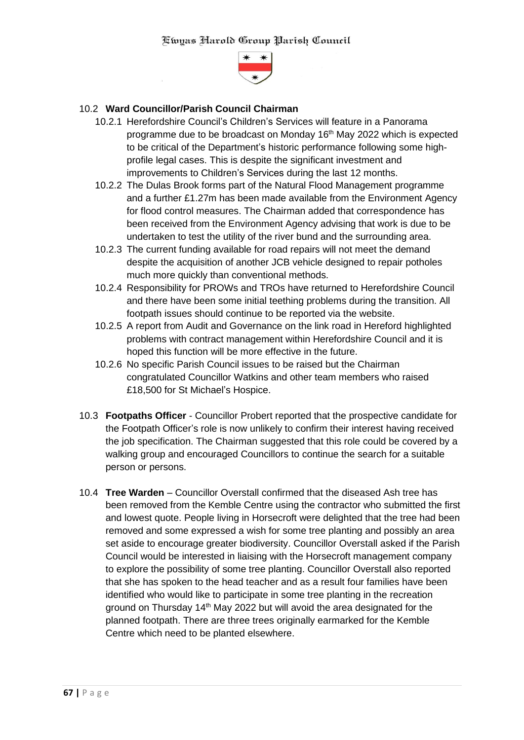

### 10.2 **Ward Councillor/Parish Council Chairman**

- 10.2.1 Herefordshire Council's Children's Services will feature in a Panorama programme due to be broadcast on Monday 16<sup>th</sup> May 2022 which is expected to be critical of the Department's historic performance following some highprofile legal cases. This is despite the significant investment and improvements to Children's Services during the last 12 months.
- 10.2.2 The Dulas Brook forms part of the Natural Flood Management programme and a further £1.27m has been made available from the Environment Agency for flood control measures. The Chairman added that correspondence has been received from the Environment Agency advising that work is due to be undertaken to test the utility of the river bund and the surrounding area.
- 10.2.3 The current funding available for road repairs will not meet the demand despite the acquisition of another JCB vehicle designed to repair potholes much more quickly than conventional methods.
- 10.2.4 Responsibility for PROWs and TROs have returned to Herefordshire Council and there have been some initial teething problems during the transition. All footpath issues should continue to be reported via the website.
- 10.2.5 A report from Audit and Governance on the link road in Hereford highlighted problems with contract management within Herefordshire Council and it is hoped this function will be more effective in the future.
- 10.2.6 No specific Parish Council issues to be raised but the Chairman congratulated Councillor Watkins and other team members who raised £18,500 for St Michael's Hospice.
- 10.3 **Footpaths Officer** Councillor Probert reported that the prospective candidate for the Footpath Officer's role is now unlikely to confirm their interest having received the job specification. The Chairman suggested that this role could be covered by a walking group and encouraged Councillors to continue the search for a suitable person or persons.
- 10.4 **Tree Warden** Councillor Overstall confirmed that the diseased Ash tree has been removed from the Kemble Centre using the contractor who submitted the first and lowest quote. People living in Horsecroft were delighted that the tree had been removed and some expressed a wish for some tree planting and possibly an area set aside to encourage greater biodiversity. Councillor Overstall asked if the Parish Council would be interested in liaising with the Horsecroft management company to explore the possibility of some tree planting. Councillor Overstall also reported that she has spoken to the head teacher and as a result four families have been identified who would like to participate in some tree planting in the recreation ground on Thursday 14<sup>th</sup> May 2022 but will avoid the area designated for the planned footpath. There are three trees originally earmarked for the Kemble Centre which need to be planted elsewhere.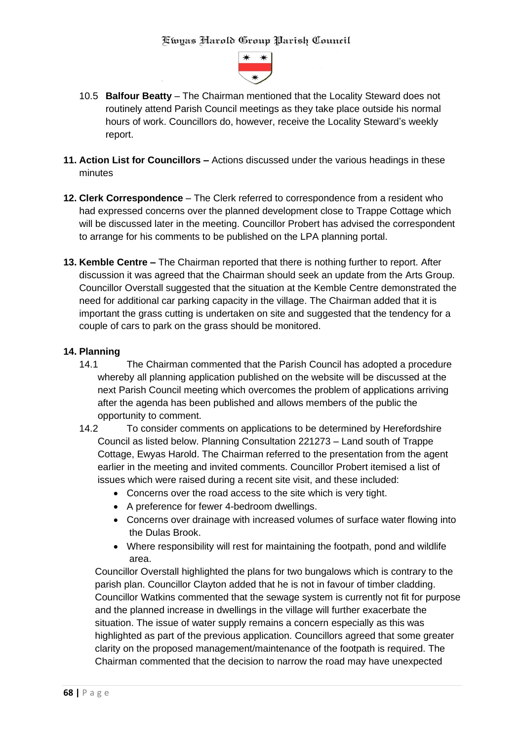

- 10.5 **Balfour Beatty** The Chairman mentioned that the Locality Steward does not routinely attend Parish Council meetings as they take place outside his normal hours of work. Councillors do, however, receive the Locality Steward's weekly report.
- **11. Action List for Councillors –** Actions discussed under the various headings in these minutes
- **12. Clerk Correspondence** The Clerk referred to correspondence from a resident who had expressed concerns over the planned development close to Trappe Cottage which will be discussed later in the meeting. Councillor Probert has advised the correspondent to arrange for his comments to be published on the LPA planning portal.
- **13. Kemble Centre –** The Chairman reported that there is nothing further to report. After discussion it was agreed that the Chairman should seek an update from the Arts Group. Councillor Overstall suggested that the situation at the Kemble Centre demonstrated the need for additional car parking capacity in the village. The Chairman added that it is important the grass cutting is undertaken on site and suggested that the tendency for a couple of cars to park on the grass should be monitored.

#### **14. Planning**

- 14.1 The Chairman commented that the Parish Council has adopted a procedure whereby all planning application published on the website will be discussed at the next Parish Council meeting which overcomes the problem of applications arriving after the agenda has been published and allows members of the public the opportunity to comment.
- 14.2 To consider comments on applications to be determined by Herefordshire Council as listed below. Planning Consultation 221273 – Land south of Trappe Cottage, Ewyas Harold. The Chairman referred to the presentation from the agent earlier in the meeting and invited comments. Councillor Probert itemised a list of issues which were raised during a recent site visit, and these included:
	- Concerns over the road access to the site which is very tight.
	- A preference for fewer 4-bedroom dwellings.
	- Concerns over drainage with increased volumes of surface water flowing into the Dulas Brook.
	- Where responsibility will rest for maintaining the footpath, pond and wildlife area.

Councillor Overstall highlighted the plans for two bungalows which is contrary to the parish plan. Councillor Clayton added that he is not in favour of timber cladding. Councillor Watkins commented that the sewage system is currently not fit for purpose and the planned increase in dwellings in the village will further exacerbate the situation. The issue of water supply remains a concern especially as this was highlighted as part of the previous application. Councillors agreed that some greater clarity on the proposed management/maintenance of the footpath is required. The Chairman commented that the decision to narrow the road may have unexpected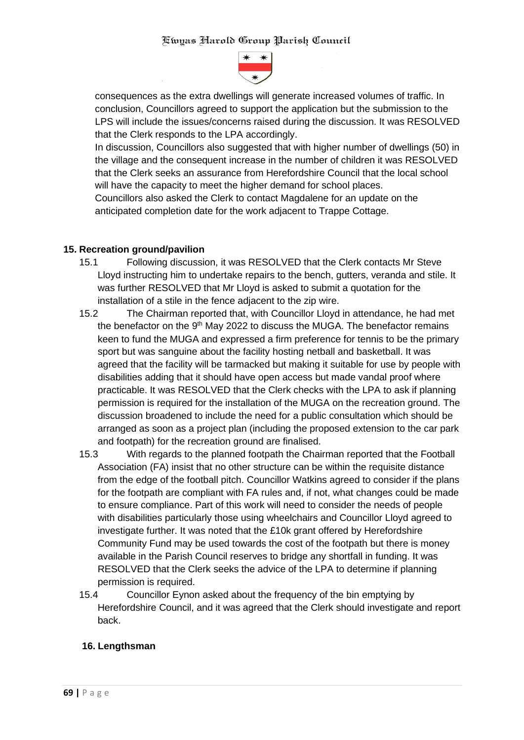

consequences as the extra dwellings will generate increased volumes of traffic. In conclusion, Councillors agreed to support the application but the submission to the LPS will include the issues/concerns raised during the discussion. It was RESOLVED that the Clerk responds to the LPA accordingly.

In discussion, Councillors also suggested that with higher number of dwellings (50) in the village and the consequent increase in the number of children it was RESOLVED that the Clerk seeks an assurance from Herefordshire Council that the local school will have the capacity to meet the higher demand for school places.

Councillors also asked the Clerk to contact Magdalene for an update on the anticipated completion date for the work adjacent to Trappe Cottage.

#### **15. Recreation ground/pavilion**

- 15.1 Following discussion, it was RESOLVED that the Clerk contacts Mr Steve Lloyd instructing him to undertake repairs to the bench, gutters, veranda and stile. It was further RESOLVED that Mr Lloyd is asked to submit a quotation for the installation of a stile in the fence adjacent to the zip wire.
- 15.2 The Chairman reported that, with Councillor Lloyd in attendance, he had met the benefactor on the 9<sup>th</sup> May 2022 to discuss the MUGA. The benefactor remains keen to fund the MUGA and expressed a firm preference for tennis to be the primary sport but was sanguine about the facility hosting netball and basketball. It was agreed that the facility will be tarmacked but making it suitable for use by people with disabilities adding that it should have open access but made vandal proof where practicable. It was RESOLVED that the Clerk checks with the LPA to ask if planning permission is required for the installation of the MUGA on the recreation ground. The discussion broadened to include the need for a public consultation which should be arranged as soon as a project plan (including the proposed extension to the car park and footpath) for the recreation ground are finalised.
- 15.3 With regards to the planned footpath the Chairman reported that the Football Association (FA) insist that no other structure can be within the requisite distance from the edge of the football pitch. Councillor Watkins agreed to consider if the plans for the footpath are compliant with FA rules and, if not, what changes could be made to ensure compliance. Part of this work will need to consider the needs of people with disabilities particularly those using wheelchairs and Councillor Lloyd agreed to investigate further. It was noted that the £10k grant offered by Herefordshire Community Fund may be used towards the cost of the footpath but there is money available in the Parish Council reserves to bridge any shortfall in funding. It was RESOLVED that the Clerk seeks the advice of the LPA to determine if planning permission is required.
- 15.4 Councillor Eynon asked about the frequency of the bin emptying by Herefordshire Council, and it was agreed that the Clerk should investigate and report back.

## **16. Lengthsman**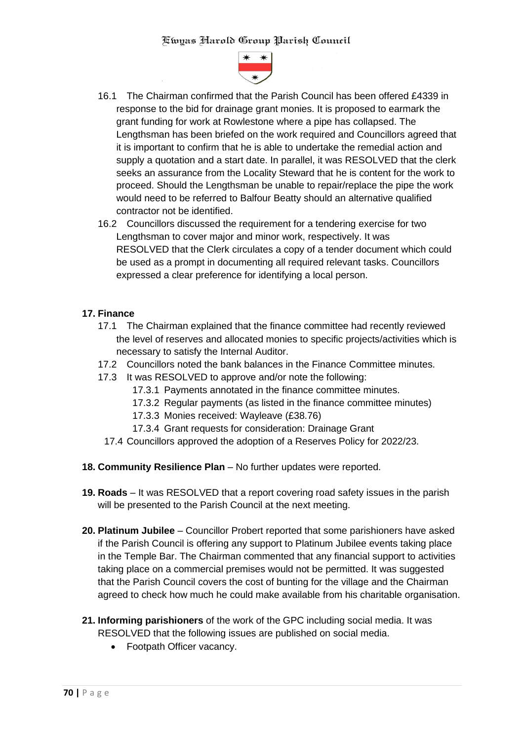

- 16.1 The Chairman confirmed that the Parish Council has been offered £4339 in response to the bid for drainage grant monies. It is proposed to earmark the grant funding for work at Rowlestone where a pipe has collapsed. The Lengthsman has been briefed on the work required and Councillors agreed that it is important to confirm that he is able to undertake the remedial action and supply a quotation and a start date. In parallel, it was RESOLVED that the clerk seeks an assurance from the Locality Steward that he is content for the work to proceed. Should the Lengthsman be unable to repair/replace the pipe the work would need to be referred to Balfour Beatty should an alternative qualified contractor not be identified.
- 16.2 Councillors discussed the requirement for a tendering exercise for two Lengthsman to cover major and minor work, respectively. It was RESOLVED that the Clerk circulates a copy of a tender document which could be used as a prompt in documenting all required relevant tasks. Councillors expressed a clear preference for identifying a local person.

### **17. Finance**

- 17.1 The Chairman explained that the finance committee had recently reviewed the level of reserves and allocated monies to specific projects/activities which is necessary to satisfy the Internal Auditor.
- 17.2 Councillors noted the bank balances in the Finance Committee minutes.
- 17.3 It was RESOLVED to approve and/or note the following:
	- 17.3.1 Payments annotated in the finance committee minutes.
	- 17.3.2 Regular payments (as listed in the finance committee minutes)
	- 17.3.3 Monies received: Wayleave (£38.76)
	- 17.3.4 Grant requests for consideration: Drainage Grant
	- 17.4 Councillors approved the adoption of a Reserves Policy for 2022/23.
- **18. Community Resilience Plan** No further updates were reported.
- **19. Roads** It was RESOLVED that a report covering road safety issues in the parish will be presented to the Parish Council at the next meeting.
- **20. Platinum Jubilee** Councillor Probert reported that some parishioners have asked if the Parish Council is offering any support to Platinum Jubilee events taking place in the Temple Bar. The Chairman commented that any financial support to activities taking place on a commercial premises would not be permitted. It was suggested that the Parish Council covers the cost of bunting for the village and the Chairman agreed to check how much he could make available from his charitable organisation.
- **21. Informing parishioners** of the work of the GPC including social media. It was RESOLVED that the following issues are published on social media.
	- Footpath Officer vacancy.